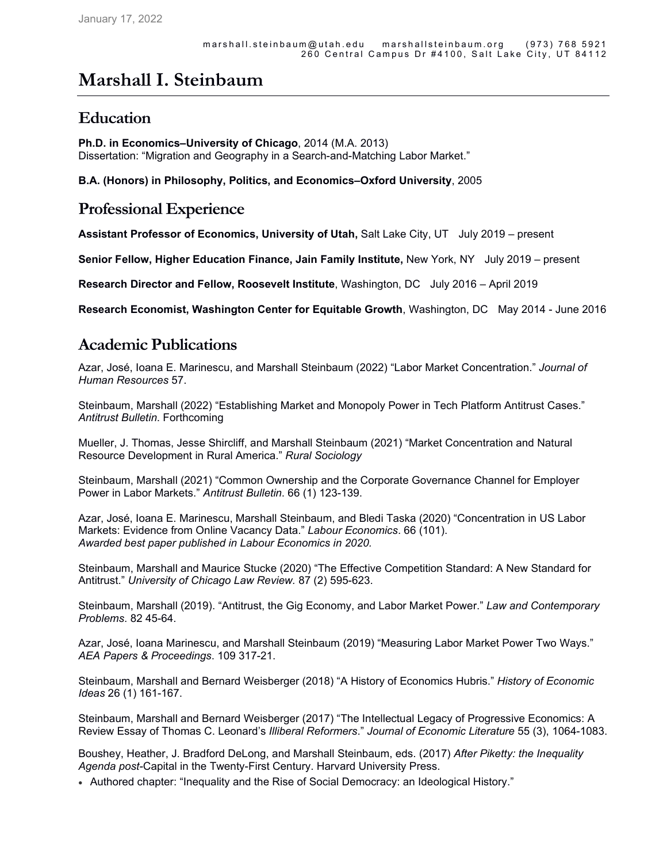# **Marshall I. Steinbaum**

## **Education**

**Ph.D. in Economics–University of Chicago**, 2014 (M.A. 2013) Dissertation: "Migration and Geography in a Search-and-Matching Labor Market."

**B.A. (Honors) in Philosophy, Politics, and Economics–Oxford University**, 2005

#### **Professional Experience**

**Assistant Professor of Economics, University of Utah,** Salt Lake City, UT July 2019 – present

**Senior Fellow, Higher Education Finance, Jain Family Institute, New York, NY** July 2019 – present

**Research Director and Fellow, Roosevelt Institute**, Washington, DC July 2016 – April 2019

**Research Economist, Washington Center for Equitable Growth**, Washington, DC May 2014 - June 2016

### **Academic Publications**

Azar, José, Ioana E. Marinescu, and Marshall Steinbaum (2022) "Labor Market Concentration." *Journal of Human Resources* 57.

Steinbaum, Marshall (2022) "Establishing Market and Monopoly Power in Tech Platform Antitrust Cases." *Antitrust Bulletin*. Forthcoming

Mueller, J. Thomas, Jesse Shircliff, and Marshall Steinbaum (2021) "Market Concentration and Natural Resource Development in Rural America." *Rural Sociology*

Steinbaum, Marshall (2021) "Common Ownership and the Corporate Governance Channel for Employer Power in Labor Markets." *Antitrust Bulletin*. 66 (1) 123-139.

Azar, José, Ioana E. Marinescu, Marshall Steinbaum, and Bledi Taska (2020) "Concentration in US Labor Markets: Evidence from Online Vacancy Data." *Labour Economics*. 66 (101). *Awarded best paper published in Labour Economics in 2020.*

Steinbaum, Marshall and Maurice Stucke (2020) "The Effective Competition Standard: A New Standard for Antitrust." *University of Chicago Law Review.* 87 (2) 595-623.

Steinbaum, Marshall (2019). "Antitrust, the Gig Economy, and Labor Market Power." *Law and Contemporary Problems*. 82 45-64.

Azar, José, Ioana Marinescu, and Marshall Steinbaum (2019) "Measuring Labor Market Power Two Ways." *AEA Papers & Proceedings*. 109 317-21.

Steinbaum, Marshall and Bernard Weisberger (2018) "A History of Economics Hubris." *History of Economic Ideas* 26 (1) 161-167.

Steinbaum, Marshall and Bernard Weisberger (2017) "The Intellectual Legacy of Progressive Economics: A Review Essay of Thomas C. Leonard's *Illiberal Reformers*." *Journal of Economic Literature* 55 (3), 1064-1083.

Boushey, Heather, J. Bradford DeLong, and Marshall Steinbaum, eds. (2017) *After Piketty: the Inequality Agenda post-*Capital in the Twenty-First Century. Harvard University Press.

Authored chapter: "Inequality and the Rise of Social Democracy: an Ideological History."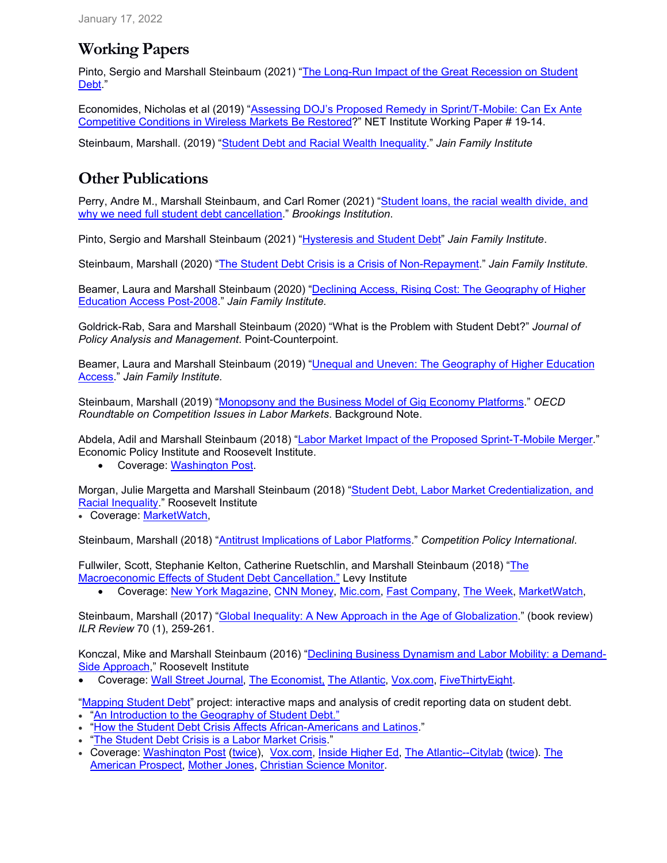# **Working Papers**

Pinto, Sergio and Marshall Steinbaum (2021) "The Long-Run Impact of the Great Recession on Student Debt."

Economides, Nicholas et al (2019) "Assessing DOJ's Proposed Remedy in Sprint/T-Mobile: Can Ex Ante Competitive Conditions in Wireless Markets Be Restored?" NET Institute Working Paper # 19-14.

Steinbaum, Marshall. (2019) "Student Debt and Racial Wealth Inequality." *Jain Family Institute*

# **Other Publications**

Perry, Andre M., Marshall Steinbaum, and Carl Romer (2021) "Student loans, the racial wealth divide, and why we need full student debt cancellation." *Brookings Institution*.

Pinto, Sergio and Marshall Steinbaum (2021) "Hysteresis and Student Debt" *Jain Family Institute*.

Steinbaum, Marshall (2020) "The Student Debt Crisis is a Crisis of Non-Repayment." *Jain Family Institute*.

Beamer, Laura and Marshall Steinbaum (2020) "Declining Access, Rising Cost: The Geography of Higher Education Access Post-2008." *Jain Family Institute.*

Goldrick-Rab, Sara and Marshall Steinbaum (2020) "What is the Problem with Student Debt?" *Journal of Policy Analysis and Management*. Point-Counterpoint.

Beamer, Laura and Marshall Steinbaum (2019) "Unequal and Uneven: The Geography of Higher Education Access." *Jain Family Institute.*

Steinbaum, Marshall (2019) "Monopsony and the Business Model of Gig Economy Platforms." *OECD Roundtable on Competition Issues in Labor Markets*. Background Note.

Abdela, Adil and Marshall Steinbaum (2018) "Labor Market Impact of the Proposed Sprint-T-Mobile Merger." Economic Policy Institute and Roosevelt Institute.

Coverage: Washington Post.

Morgan, Julie Margetta and Marshall Steinbaum (2018) "Student Debt, Labor Market Credentialization, and Racial Inequality." Roosevelt Institute

Coverage: MarketWatch,

Steinbaum, Marshall (2018) "Antitrust Implications of Labor Platforms." *Competition Policy International*.

Fullwiler, Scott, Stephanie Kelton, Catherine Ruetschlin, and Marshall Steinbaum (2018) "The Macroeconomic Effects of Student Debt Cancellation." Levy Institute

Coverage: New York Magazine, CNN Money, Mic.com, Fast Company, The Week, MarketWatch,

Steinbaum, Marshall (2017) "Global Inequality: A New Approach in the Age of Globalization." (book review) *ILR Review* 70 (1), 259-261.

Konczal, Mike and Marshall Steinbaum (2016) "Declining Business Dynamism and Labor Mobility: a Demand-Side Approach," Roosevelt Institute

Coverage: Wall Street Journal, The Economist, The Atlantic, Vox.com, FiveThirtyEight.

"Mapping Student Debt" project: interactive maps and analysis of credit reporting data on student debt. "An Introduction to the Geography of Student Debt."

- "How the Student Debt Crisis Affects African-Americans and Latinos."
- "The Student Debt Crisis is a Labor Market Crisis."
- Coverage: Washington Post (twice), Vox.com, Inside Higher Ed, The Atlantic--Citylab (twice). The American Prospect, Mother Jones, Christian Science Monitor.